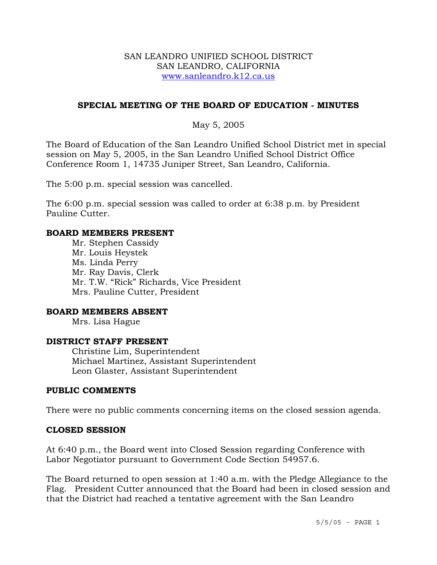#### SAN LEANDRO UNIFIED SCHOOL DISTRICT SAN LEANDRO, CALIFORNIA www.sanleandro.k12.ca.us

## **SPECIAL MEETING OF THE BOARD OF EDUCATION - MINUTES**

### May 5, 2005

The Board of Education of the San Leandro Unified School District met in special session on May 5, 2005, in the San Leandro Unified School District Office Conference Room 1, 14735 Juniper Street, San Leandro, California.

The 5:00 p.m. special session was cancelled.

The 6:00 p.m. special session was called to order at 6:38 p.m. by President Pauline Cutter.

#### **BOARD MEMBERS PRESENT**

 Mr. Stephen Cassidy Mr. Louis Heystek Ms. Linda Perry Mr. Ray Davis, Clerk Mr. T.W. "Rick" Richards, Vice President Mrs. Pauline Cutter, President

### **BOARD MEMBERS ABSENT**

Mrs. Lisa Hague

#### **DISTRICT STAFF PRESENT**

Christine Lim, Superintendent Michael Martinez, Assistant Superintendent Leon Glaster, Assistant Superintendent

#### **PUBLIC COMMENTS**

There were no public comments concerning items on the closed session agenda.

#### **CLOSED SESSION**

At 6:40 p.m., the Board went into Closed Session regarding Conference with Labor Negotiator pursuant to Government Code Section 54957.6.

The Board returned to open session at 1:40 a.m. with the Pledge Allegiance to the Flag. President Cutter announced that the Board had been in closed session and that the District had reached a tentative agreement with the San Leandro